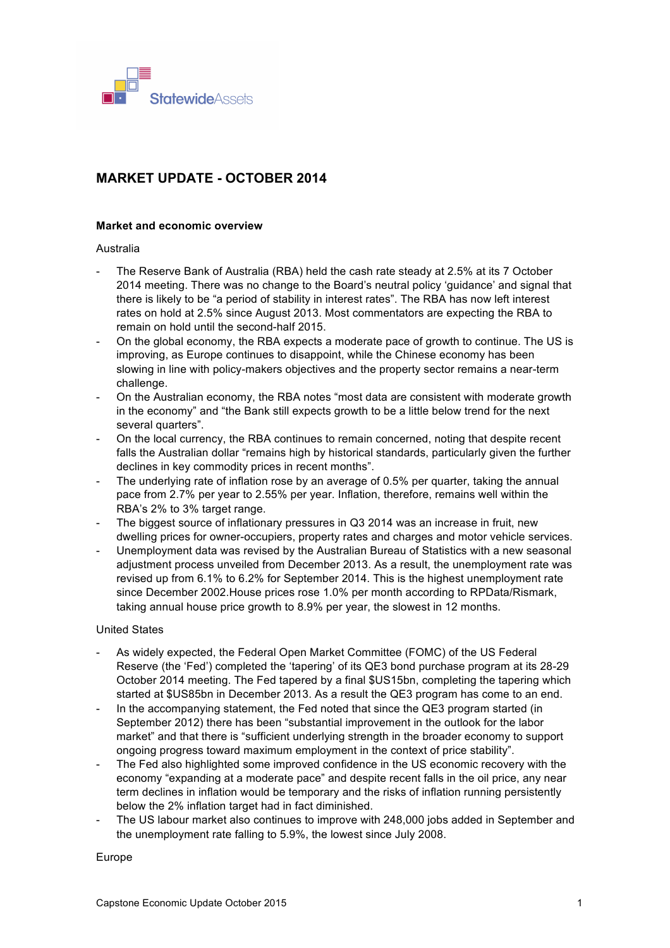

# **MARKET UPDATE - OCTOBER 2014**

# **Market and economic overview**

#### Australia

- The Reserve Bank of Australia (RBA) held the cash rate steady at 2.5% at its 7 October 2014 meeting. There was no change to the Board's neutral policy 'guidance' and signal that there is likely to be "a period of stability in interest rates". The RBA has now left interest rates on hold at 2.5% since August 2013. Most commentators are expecting the RBA to remain on hold until the second-half 2015.
- On the global economy, the RBA expects a moderate pace of growth to continue. The US is improving, as Europe continues to disappoint, while the Chinese economy has been slowing in line with policy-makers objectives and the property sector remains a near-term challenge.
- On the Australian economy, the RBA notes "most data are consistent with moderate growth in the economy" and "the Bank still expects growth to be a little below trend for the next several quarters".
- On the local currency, the RBA continues to remain concerned, noting that despite recent falls the Australian dollar "remains high by historical standards, particularly given the further declines in key commodity prices in recent months".
- The underlying rate of inflation rose by an average of 0.5% per quarter, taking the annual pace from 2.7% per year to 2.55% per year. Inflation, therefore, remains well within the RBA's 2% to 3% target range.
- The biggest source of inflationary pressures in Q3 2014 was an increase in fruit, new dwelling prices for owner-occupiers, property rates and charges and motor vehicle services.
- Unemployment data was revised by the Australian Bureau of Statistics with a new seasonal adjustment process unveiled from December 2013. As a result, the unemployment rate was revised up from 6.1% to 6.2% for September 2014. This is the highest unemployment rate since December 2002.House prices rose 1.0% per month according to RPData/Rismark, taking annual house price growth to 8.9% per year, the slowest in 12 months.

#### United States

- As widely expected, the Federal Open Market Committee (FOMC) of the US Federal Reserve (the 'Fed') completed the 'tapering' of its QE3 bond purchase program at its 28-29 October 2014 meeting. The Fed tapered by a final \$US15bn, completing the tapering which started at \$US85bn in December 2013. As a result the QE3 program has come to an end.
- In the accompanying statement, the Fed noted that since the QE3 program started (in September 2012) there has been "substantial improvement in the outlook for the labor market" and that there is "sufficient underlying strength in the broader economy to support ongoing progress toward maximum employment in the context of price stability".
- The Fed also highlighted some improved confidence in the US economic recovery with the economy "expanding at a moderate pace" and despite recent falls in the oil price, any near term declines in inflation would be temporary and the risks of inflation running persistently below the 2% inflation target had in fact diminished.
- The US labour market also continues to improve with 248,000 jobs added in September and the unemployment rate falling to 5.9%, the lowest since July 2008.

#### Europe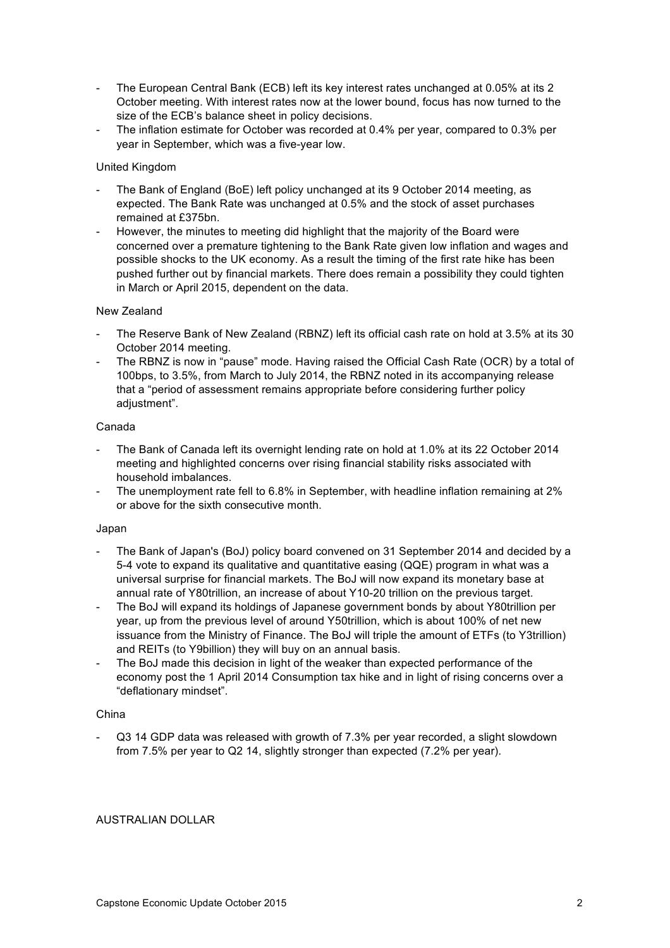- The European Central Bank (ECB) left its key interest rates unchanged at 0.05% at its 2 October meeting. With interest rates now at the lower bound, focus has now turned to the size of the ECB's balance sheet in policy decisions.
- The inflation estimate for October was recorded at 0.4% per year, compared to 0.3% per year in September, which was a five-year low.

# United Kingdom

- The Bank of England (BoE) left policy unchanged at its 9 October 2014 meeting, as expected. The Bank Rate was unchanged at 0.5% and the stock of asset purchases remained at £375bn.
- However, the minutes to meeting did highlight that the majority of the Board were concerned over a premature tightening to the Bank Rate given low inflation and wages and possible shocks to the UK economy. As a result the timing of the first rate hike has been pushed further out by financial markets. There does remain a possibility they could tighten in March or April 2015, dependent on the data.

# New Zealand

- The Reserve Bank of New Zealand (RBNZ) left its official cash rate on hold at 3.5% at its 30 October 2014 meeting.
- The RBNZ is now in "pause" mode. Having raised the Official Cash Rate (OCR) by a total of 100bps, to 3.5%, from March to July 2014, the RBNZ noted in its accompanying release that a "period of assessment remains appropriate before considering further policy adjustment".

# Canada

- The Bank of Canada left its overnight lending rate on hold at 1.0% at its 22 October 2014 meeting and highlighted concerns over rising financial stability risks associated with household imbalances.
- The unemployment rate fell to 6.8% in September, with headline inflation remaining at 2% or above for the sixth consecutive month.

#### Japan

- The Bank of Japan's (BoJ) policy board convened on 31 September 2014 and decided by a 5-4 vote to expand its qualitative and quantitative easing (QQE) program in what was a universal surprise for financial markets. The BoJ will now expand its monetary base at annual rate of Y80trillion, an increase of about Y10-20 trillion on the previous target.
- The BoJ will expand its holdings of Japanese government bonds by about Y80trillion per year, up from the previous level of around Y50trillion, which is about 100% of net new issuance from the Ministry of Finance. The BoJ will triple the amount of ETFs (to Y3trillion) and REITs (to Y9billion) they will buy on an annual basis.
- The BoJ made this decision in light of the weaker than expected performance of the economy post the 1 April 2014 Consumption tax hike and in light of rising concerns over a "deflationary mindset".

#### China

Q3 14 GDP data was released with growth of 7.3% per year recorded, a slight slowdown from 7.5% per year to Q2 14, slightly stronger than expected (7.2% per year).

# AUSTRALIAN DOLLAR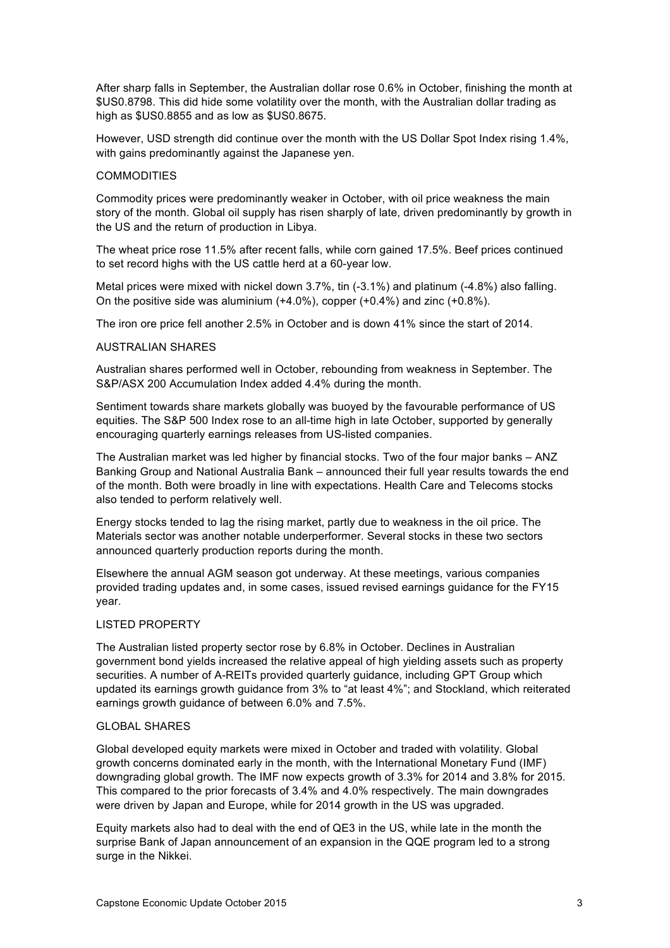After sharp falls in September, the Australian dollar rose 0.6% in October, finishing the month at \$US0.8798. This did hide some volatility over the month, with the Australian dollar trading as high as \$US0.8855 and as low as \$US0.8675.

However, USD strength did continue over the month with the US Dollar Spot Index rising 1.4%, with gains predominantly against the Japanese yen.

#### **COMMODITIES**

Commodity prices were predominantly weaker in October, with oil price weakness the main story of the month. Global oil supply has risen sharply of late, driven predominantly by growth in the US and the return of production in Libya.

The wheat price rose 11.5% after recent falls, while corn gained 17.5%. Beef prices continued to set record highs with the US cattle herd at a 60-year low.

Metal prices were mixed with nickel down 3.7%, tin (-3.1%) and platinum (-4.8%) also falling. On the positive side was aluminium (+4.0%), copper (+0.4%) and zinc (+0.8%).

The iron ore price fell another 2.5% in October and is down 41% since the start of 2014.

#### AUSTRALIAN SHARES

Australian shares performed well in October, rebounding from weakness in September. The S&P/ASX 200 Accumulation Index added 4.4% during the month.

Sentiment towards share markets globally was buoyed by the favourable performance of US equities. The S&P 500 Index rose to an all-time high in late October, supported by generally encouraging quarterly earnings releases from US-listed companies.

The Australian market was led higher by financial stocks. Two of the four major banks – ANZ Banking Group and National Australia Bank – announced their full year results towards the end of the month. Both were broadly in line with expectations. Health Care and Telecoms stocks also tended to perform relatively well.

Energy stocks tended to lag the rising market, partly due to weakness in the oil price. The Materials sector was another notable underperformer. Several stocks in these two sectors announced quarterly production reports during the month.

Elsewhere the annual AGM season got underway. At these meetings, various companies provided trading updates and, in some cases, issued revised earnings guidance for the FY15 year.

# LISTED PROPERTY

The Australian listed property sector rose by 6.8% in October. Declines in Australian government bond yields increased the relative appeal of high yielding assets such as property securities. A number of A-REITs provided quarterly guidance, including GPT Group which updated its earnings growth guidance from 3% to "at least 4%"; and Stockland, which reiterated earnings growth guidance of between 6.0% and 7.5%.

#### GLOBAL SHARES

Global developed equity markets were mixed in October and traded with volatility. Global growth concerns dominated early in the month, with the International Monetary Fund (IMF) downgrading global growth. The IMF now expects growth of 3.3% for 2014 and 3.8% for 2015. This compared to the prior forecasts of 3.4% and 4.0% respectively. The main downgrades were driven by Japan and Europe, while for 2014 growth in the US was upgraded.

Equity markets also had to deal with the end of QE3 in the US, while late in the month the surprise Bank of Japan announcement of an expansion in the QQE program led to a strong surge in the Nikkei.